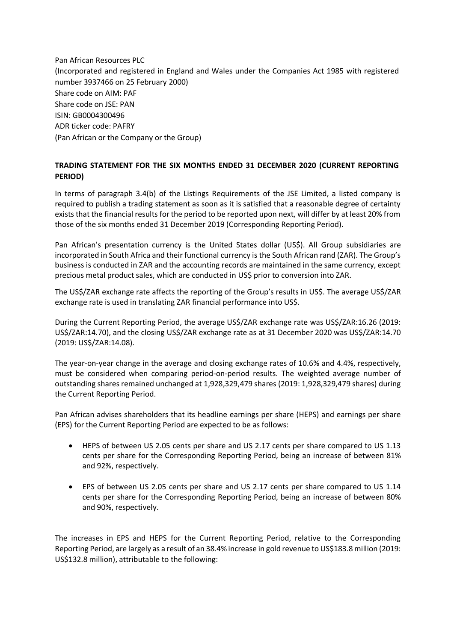Pan African Resources PLC (Incorporated and registered in England and Wales under the Companies Act 1985 with registered number 3937466 on 25 February 2000) Share code on AIM: PAF Share code on JSE: PAN ISIN: GB0004300496 ADR ticker code: PAFRY (Pan African or the Company or the Group)

## **TRADING STATEMENT FOR THE SIX MONTHS ENDED 31 DECEMBER 2020 (CURRENT REPORTING PERIOD)**

In terms of paragraph 3.4(b) of the Listings Requirements of the JSE Limited, a listed company is required to publish a trading statement as soon as it is satisfied that a reasonable degree of certainty exists that the financial results for the period to be reported upon next, will differ by at least 20% from those of the six months ended 31 December 2019 (Corresponding Reporting Period).

Pan African's presentation currency is the United States dollar (US\$). All Group subsidiaries are incorporated in South Africa and their functional currency is the South African rand (ZAR). The Group's business is conducted in ZAR and the accounting records are maintained in the same currency, except precious metal product sales, which are conducted in US\$ prior to conversion into ZAR.

The US\$/ZAR exchange rate affects the reporting of the Group's results in US\$. The average US\$/ZAR exchange rate is used in translating ZAR financial performance into US\$.

During the Current Reporting Period, the average US\$/ZAR exchange rate was US\$/ZAR:16.26 (2019: US\$/ZAR:14.70), and the closing US\$/ZAR exchange rate as at 31 December 2020 was US\$/ZAR:14.70 (2019: US\$/ZAR:14.08).

The year-on-year change in the average and closing exchange rates of 10.6% and 4.4%, respectively, must be considered when comparing period-on-period results. The weighted average number of outstanding shares remained unchanged at 1,928,329,479 shares (2019: 1,928,329,479 shares) during the Current Reporting Period.

Pan African advises shareholders that its headline earnings per share (HEPS) and earnings per share (EPS) for the Current Reporting Period are expected to be as follows:

- HEPS of between US 2.05 cents per share and US 2.17 cents per share compared to US 1.13 cents per share for the Corresponding Reporting Period, being an increase of between 81% and 92%, respectively.
- EPS of between US 2.05 cents per share and US 2.17 cents per share compared to US 1.14 cents per share for the Corresponding Reporting Period, being an increase of between 80% and 90%, respectively.

The increases in EPS and HEPS for the Current Reporting Period, relative to the Corresponding Reporting Period, are largely as a result of an 38.4% increase in gold revenue to US\$183.8 million (2019: US\$132.8 million), attributable to the following: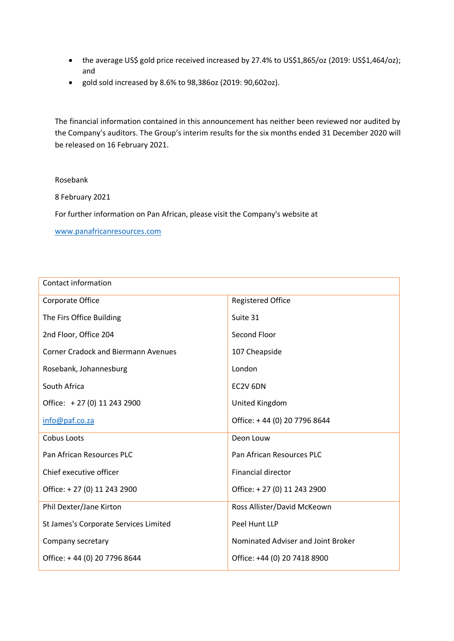- the average US\$ gold price received increased by 27.4% to US\$1,865/oz (2019: US\$1,464/oz); and
- gold sold increased by 8.6% to 98,386oz (2019: 90,602oz).

The financial information contained in this announcement has neither been reviewed nor audited by the Company's auditors. The Group's interim results for the six months ended 31 December 2020 will be released on 16 February 2021.

## Rosebank

8 February 2021

For further information on Pan African, please visit the Company's website at

[www.panafricanresources.com](http://www.panafricanresources.com/)

| Contact information                        |                                    |
|--------------------------------------------|------------------------------------|
| Corporate Office                           | <b>Registered Office</b>           |
| The Firs Office Building                   | Suite 31                           |
| 2nd Floor, Office 204                      | Second Floor                       |
| <b>Corner Cradock and Biermann Avenues</b> | 107 Cheapside                      |
| Rosebank, Johannesburg                     | London                             |
| South Africa                               | EC2V 6DN                           |
| Office: +27 (0) 11 243 2900                | United Kingdom                     |
| info@paf.co.za                             | Office: +44 (0) 20 7796 8644       |
| Cobus Loots                                | Deon Louw                          |
| Pan African Resources PLC                  | Pan African Resources PLC          |
| Chief executive officer                    | <b>Financial director</b>          |
| Office: +27 (0) 11 243 2900                | Office: +27 (0) 11 243 2900        |
| Phil Dexter/Jane Kirton                    | Ross Allister/David McKeown        |
| St James's Corporate Services Limited      | Peel Hunt LLP                      |
| Company secretary                          | Nominated Adviser and Joint Broker |
| Office: +44 (0) 20 7796 8644               | Office: +44 (0) 20 7418 8900       |